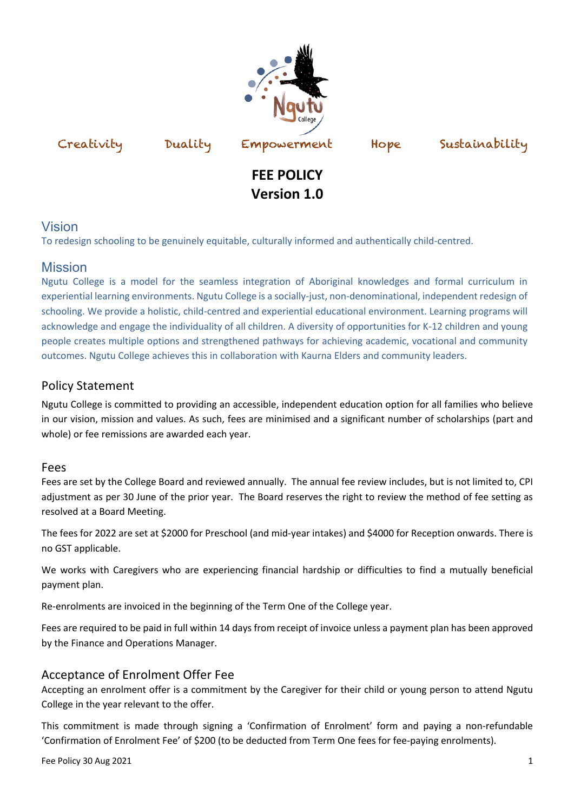



# **FEE POLICY Version 1.0**

## Vision

To redesign schooling to be genuinely equitable, culturally informed and authentically child-centred.

## **Mission**

Ngutu College is a model for the seamless integration of Aboriginal knowledges and formal curriculum in experiential learning environments. Ngutu College is a socially-just, non-denominational, independent redesign of schooling. We provide a holistic, child-centred and experiential educational environment. Learning programs will acknowledge and engage the individuality of all children. A diversity of opportunities for K-12 children and young people creates multiple options and strengthened pathways for achieving academic, vocational and community outcomes. Ngutu College achieves this in collaboration with Kaurna Elders and community leaders.

## Policy Statement

Ngutu College is committed to providing an accessible, independent education option for all families who believe in our vision, mission and values. As such, fees are minimised and a significant number of scholarships (part and whole) or fee remissions are awarded each year.

#### Fees

Fees are set by the College Board and reviewed annually. The annual fee review includes, but is not limited to, CPI adjustment as per 30 June of the prior year. The Board reserves the right to review the method of fee setting as resolved at a Board Meeting.

The fees for 2022 are set at \$2000 for Preschool (and mid-year intakes) and \$4000 for Reception onwards. There is no GST applicable.

We works with Caregivers who are experiencing financial hardship or difficulties to find a mutually beneficial payment plan.

Re-enrolments are invoiced in the beginning of the Term One of the College year.

Fees are required to be paid in full within 14 days from receipt of invoice unless a payment plan has been approved by the Finance and Operations Manager.

## Acceptance of Enrolment Offer Fee

Accepting an enrolment offer is a commitment by the Caregiver for their child or young person to attend Ngutu College in the year relevant to the offer.

This commitment is made through signing a 'Confirmation of Enrolment' form and paying a non-refundable 'Confirmation of Enrolment Fee' of \$200 (to be deducted from Term One fees for fee-paying enrolments).

Fee Policy 30 Aug 2021  $\qquad 1$